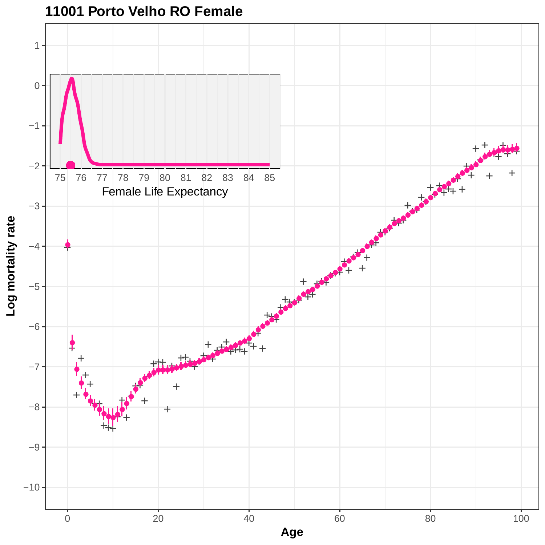

## **11001 Porto Velho RO Female**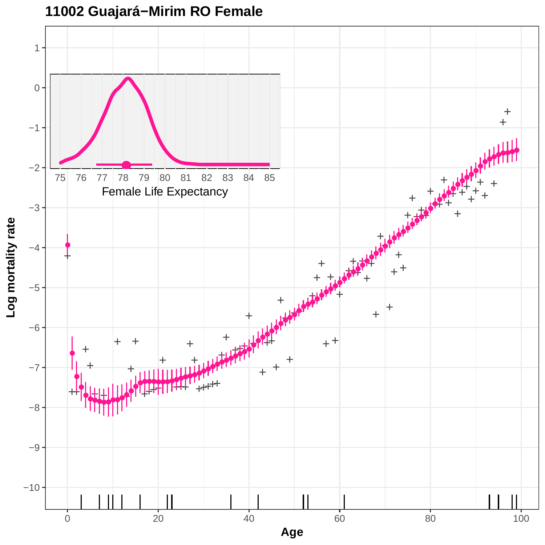

## **11002 Guajará−Mirim RO Female**

**Age**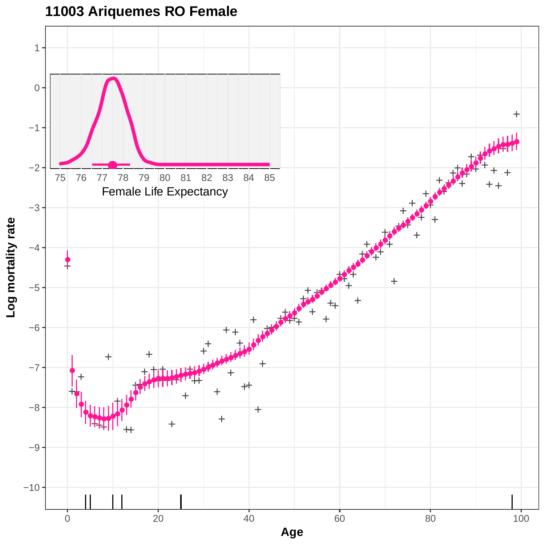

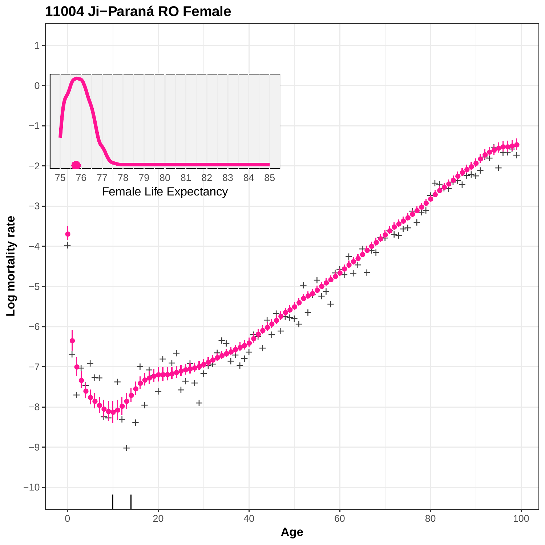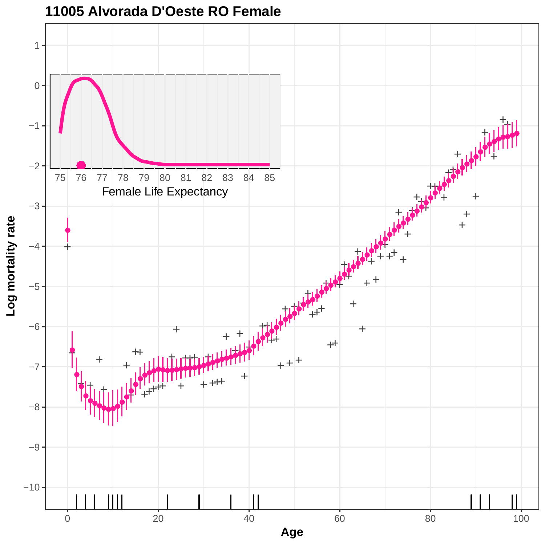

## **11005 Alvorada D'Oeste RO Female**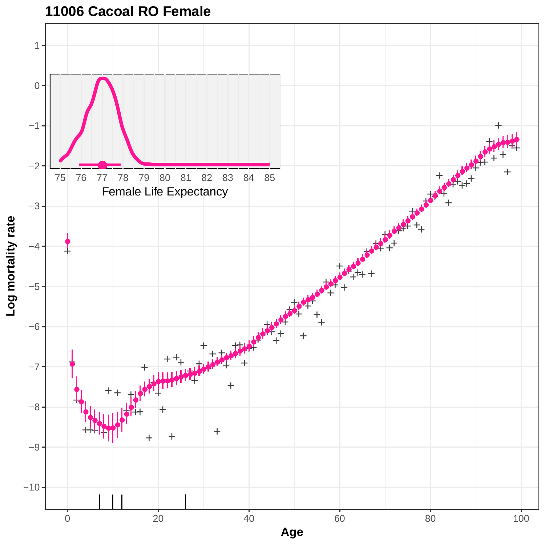

**11006 Cacoal RO Female**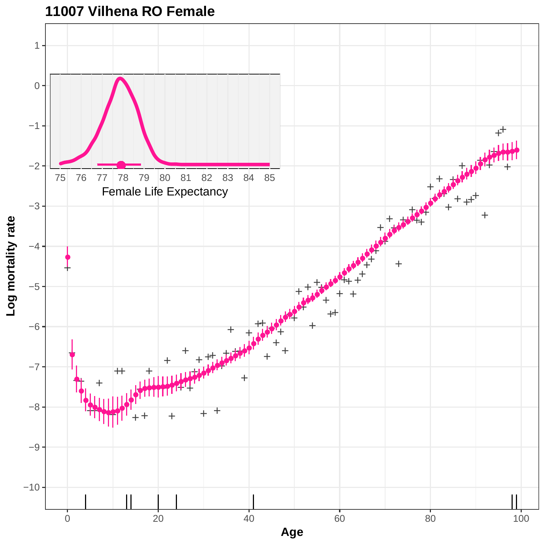